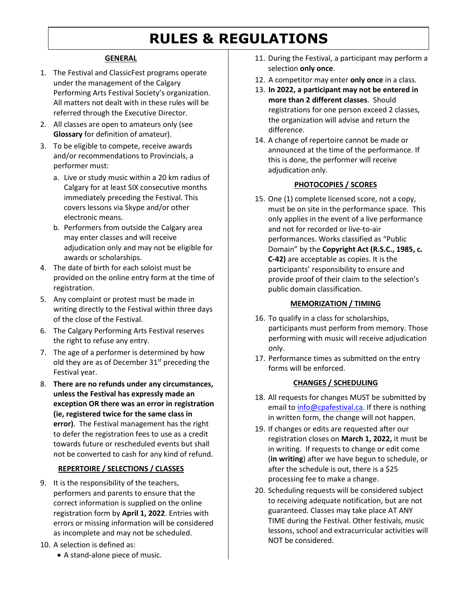# **RULES & REGULATIONS**

#### **GENERAL**

- 1. The Festival and ClassicFest programs operate under the management of the Calgary Performing Arts Festival Society's organization. All matters not dealt with in these rules will be referred through the Executive Director.
- 2. All classes are open to amateurs only (see **Glossary** for definition of amateur).
- 3. To be eligible to compete, receive awards and/or recommendations to Provincials, a performer must:
	- a. Live or study music within a 20 km radius of Calgary for at least SIX consecutive months immediately preceding the Festival. This covers lessons via Skype and/or other electronic means.
	- b. Performers from outside the Calgary area may enter classes and will receive adjudication only and may not be eligible for awards or scholarships.
- 4. The date of birth for each soloist must be provided on the online entry form at the time of registration.
- 5. Any complaint or protest must be made in writing directly to the Festival within three days of the close of the Festival.
- 6. The Calgary Performing Arts Festival reserves the right to refuse any entry.
- 7. The age of a performer is determined by how old they are as of December  $31<sup>st</sup>$  preceding the Festival year.
- 8. **There are no refunds under any circumstances, unless the Festival has expressly made an exception OR there was an error in registration (ie, registered twice for the same class in error)**. The Festival management has the right to defer the registration fees to use as a credit towards future or rescheduled events but shall not be converted to cash for any kind of refund.

#### **REPERTOIRE / SELECTIONS / CLASSES**

- 9. It is the responsibility of the teachers, performers and parents to ensure that the correct information is supplied on the online registration form by **April 1, 2022**. Entries with errors or missing information will be considered as incomplete and may not be scheduled.
- 10. A selection is defined as:
	- A stand-alone piece of music.
- 11. During the Festival, a participant may perform a selection **only once**.
- 12. A competitor may enter **only once** in a class.
- 13. **In 2022, a participant may not be entered in more than 2 different classes**. Should registrations for one person exceed 2 classes, the organization will advise and return the difference.
- 14. A change of repertoire cannot be made or announced at the time of the performance. If this is done, the performer will receive adjudication only.

### **PHOTOCOPIES / SCORES**

15. One (1) complete licensed score, not a copy, must be on site in the performance space. This only applies in the event of a live performance and not for recorded or live-to-air performances. Works classified as "Public Domain" by the **Copyright Act (R.S.C., 1985, c. C-42)** are acceptable as copies. It is the participants' responsibility to ensure and provide proof of their claim to the selection's public domain classification.

#### **MEMORIZATION / TIMING**

- 16. To qualify in a class for scholarships, participants must perform from memory. Those performing with music will receive adjudication only.
- 17. Performance times as submitted on the entry forms will be enforced.

#### **CHANGES / SCHEDULING**

- 18. All requests for changes MUST be submitted by email to [info@cpafestival.ca.](mailto:info@cpafestival.ca) If there is nothing in written form, the change will not happen.
- 19. If changes or edits are requested after our registration closes on **March 1, 2022,** it must be in writing. If requests to change or edit come (**in writing**) after we have begun to schedule, or after the schedule is out, there is a \$25 processing fee to make a change.
- 20. Scheduling requests will be considered subject to receiving adequate notification, but are not guaranteed. Classes may take place AT ANY TIME during the Festival. Other festivals, music lessons, school and extracurricular activities will NOT be considered.